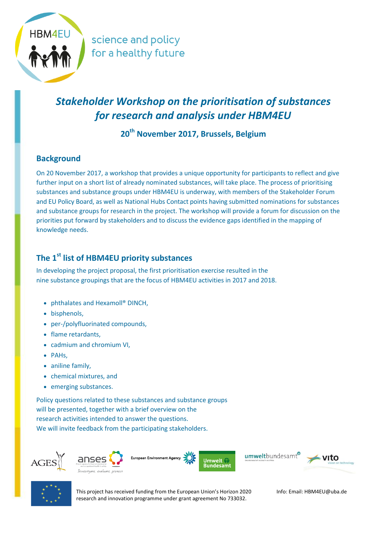

science and policy for a healthy future

# *Stakeholder Workshop on the prioritisation of substances for research and analysis under HBM4EU*

**20th November 2017, Brussels, Belgium**

### **Background**

On 20 November 2017, a workshop that provides a unique opportunity for participants to reflect and give further input on a short list of already nominated substances, will take place. The process of prioritising substances and substance groups under HBM4EU is underway, with members of the Stakeholder Forum and EU Policy Board, as well as National Hubs Contact points having submitted nominations for substances and substance groups for research in the project. The workshop will provide a forum for discussion on the priorities put forward by stakeholders and to discuss the evidence gaps identified in the mapping of knowledge needs.

### **The 1st list of HBM4EU priority substances**

In developing the project proposal, the first prioritisation exercise resulted in the nine substance groupings that are the focus of HBM4EU activities in 2017 and 2018.

- phthalates and Hexamoll<sup>®</sup> DINCH,
- bisphenols,
- per-/polyfluorinated compounds,
- flame retardants,
- cadmium and chromium VI,
- PAHs,
- aniline family,
- chemical mixtures, and
- emerging substances.

Policy questions related to these substances and substance groups will be presented, together with a brief overview on the research activities intended to answer the questions. We will invite feedback from the participating stakeholders.





This project has received funding from the European Union's Horizon 2020 research and innovation programme under grant agreement No 733032.

Info: Email: HBM4EU@uba.de